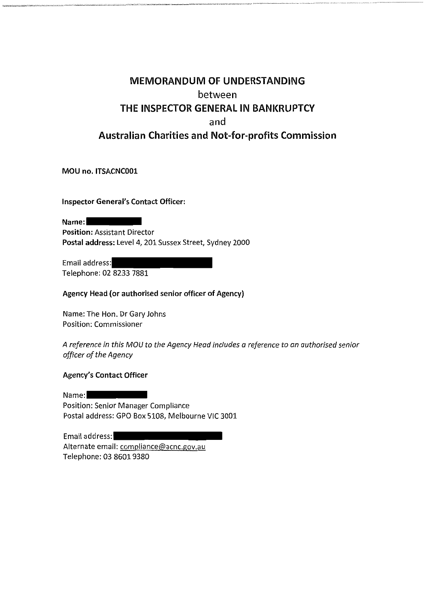# **MEMORANDUM OF UNDERSTANDING** between THE INSPECTOR GENERAL IN BANKRUPTCY and **Australian Charities and Not-for-profits Commission**

MOU no. ITSACNC001

**Inspector General's Contact Officer:** 

Name: **Position: Assistant Director** Postal address: Level 4, 201 Sussex Street, Sydney 2000

Email address: Telephone: 02 8233 7881

Agency Head (or authorised senior officer of Agency)

Name: The Hon. Dr Gary Johns Position: Commissioner

A reference in this MOU to the Agency Head includes a reference to an authorised senior officer of the Agency

#### **Agency's Contact Officer**

Name: **Position: Senior Manager Compliance** Postal address: GPO Box 5108, Melbourne VIC 3001

Email address: Alternate email: compliance@acnc.gov.au Telephone: 03 8601 9380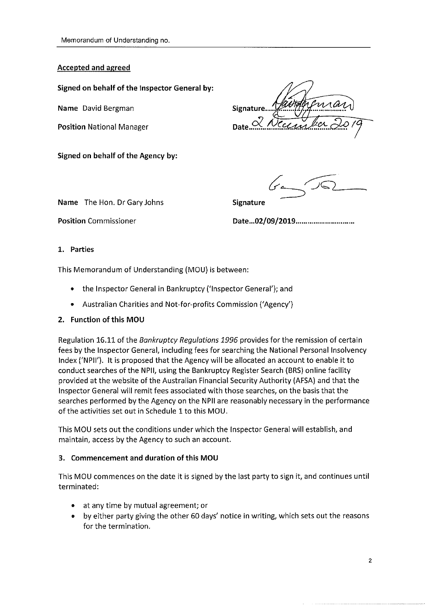#### **Accepted and agreed**

Signed on behalf of the Inspector General by:

Name David Bergman

**Position National Manager** 

Signed on behalf of the Agency by:

Signature.. Date. $\frac{C}{2}$ 

Name The Hon. Dr Gary Johns

**Signature** 

**Position Commissioner** 

#### 1. Parties

This Memorandum of Understanding (MOU) is between:

- the Inspector General in Bankruptcy ('Inspector General'); and
- Australian Charities and Not-for-profits Commission ('Agency')

### 2. Function of this MOU

Regulation 16.11 of the Bankruptcy Regulations 1996 provides for the remission of certain fees by the Inspector General, including fees for searching the National Personal Insolvency Index ('NPII'). It is proposed that the Agency will be allocated an account to enable it to conduct searches of the NPII, using the Bankruptcy Register Search (BRS) online facility provided at the website of the Australian Financial Security Authority (AFSA) and that the Inspector General will remit fees associated with those searches, on the basis that the searches performed by the Agency on the NPII are reasonably necessary in the performance of the activities set out in Schedule 1 to this MOU.

This MOU sets out the conditions under which the Inspector General will establish, and maintain, access by the Agency to such an account.

### 3. Commencement and duration of this MOU

This MOU commences on the date it is signed by the last party to sign it, and continues until terminated:

- at any time by mutual agreement; or
- $\bullet$ by either party giving the other 60 days' notice in writing, which sets out the reasons for the termination.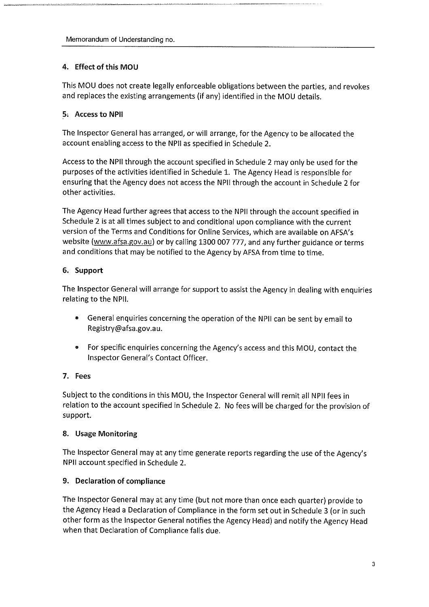# 4. Effect of this MOU

This MOU does not create legally enforceable obligations between the parties, and revokes and replaces the existing arrangements (if any) identified in the MOU details.

# 5. Access to NPII

The Inspector General has arranged, or will arrange, for the Agency to be allocated the account enabling access to the NPII as specified in Schedule 2.

Access to the NPII through the account specified in Schedule 2 may only be used for the purposes of the activities identified in Schedule 1. The Agency Head is responsible for ensuring that the Agency does not access the NPII through the account in Schedule 2 for other activities.

The Agency Head further agrees that access to the NPII through the account specified in Schedule 2 is at all times subject to and conditional upon compliance with the current version of the Terms and Conditions for Online Services, which are available on AFSA's website (www.afsa.gov.au) or by calling 1300 007 777, and any further guidance or terms and conditions that may be notified to the Agency by AFSA from time to time.

# 6. Support

The Inspector General will arrange for support to assist the Agency in dealing with enquiries relating to the NPII.

- General enquiries concerning the operation of the NPII can be sent by email to Registry@afsa.gov.au.
- For specific enquiries concerning the Agency's access and this MOU, contact the Inspector General's Contact Officer.

# 7. Fees

Subject to the conditions in this MOU, the Inspector General will remit all NPII fees in relation to the account specified in Schedule 2. No fees will be charged for the provision of support.

# 8. Usage Monitoring

The Inspector General may at any time generate reports regarding the use of the Agency's NPII account specified in Schedule 2.

# 9. Declaration of compliance

The Inspector General may at any time (but not more than once each quarter) provide to the Agency Head a Declaration of Compliance in the form set out in Schedule 3 (or in such other form as the Inspector General notifies the Agency Head) and notify the Agency Head when that Declaration of Compliance falls due.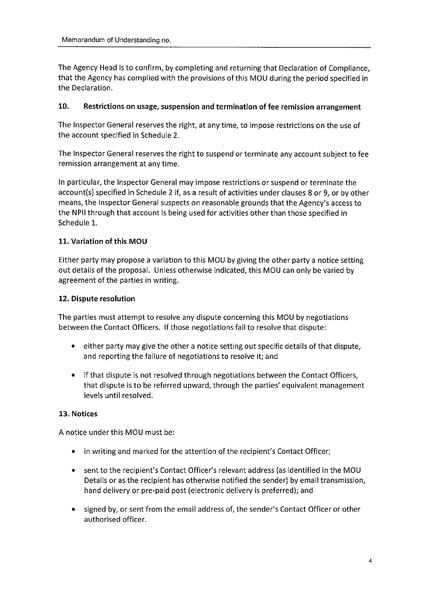The Agency Head is to confirm, by completing and returning that Declaration of Compliance, that the Agency has complied with the provisions of this MOU during the period specified in the Declaration.

#### $10.$ Restrictions on usage, suspension and termination of fee remission arrangement

The Inspector General reserves the right, at any time, to impose restrictions on the use of the account specified in Schedule 2.

The Inspector General reserves the right to suspend or terminate any account subject to fee remission arrangement at any time.

In particular, the Inspector General may impose restrictions or suspend or terminate the account(s) specified in Schedule 2 if, as a result of activities under clauses 8 or 9, or by other means, the Inspector General suspects on reasonable grounds that the Agency's access to the NPII through that account is being used for activities other than those specified in Schedule 1.

### 11. Variation of this MOU

Either party may propose a variation to this MOU by giving the other party a notice setting out details of the proposal. Unless otherwise indicated, this MOU can only be varied by agreement of the parties in writing.

#### 12. Dispute resolution

The parties must attempt to resolve any dispute concerning this MOU by negotiations between the Contact Officers. If those negotiations fail to resolve that dispute:

- $\bullet$ either party may give the other a notice setting out specific details of that dispute, and reporting the failure of negotiations to resolve it; and
- $\bullet$ if that dispute is not resolved through negotiations between the Contact Officers, that dispute is to be referred upward, through the parties' equivalent management levels until resolved.

#### 13. Notices

A notice under this MOU must be:

- in writing and marked for the attention of the recipient's Contact Officer;
- sent to the recipient's Contact Officer's relevant address (as identified in the MOU Details or as the recipient has otherwise notified the sender) by email transmission, hand delivery or pre-paid post (electronic delivery is preferred); and
- signed by, or sent from the email address of, the sender's Contact Officer or other  $\bullet$ authorised officer.